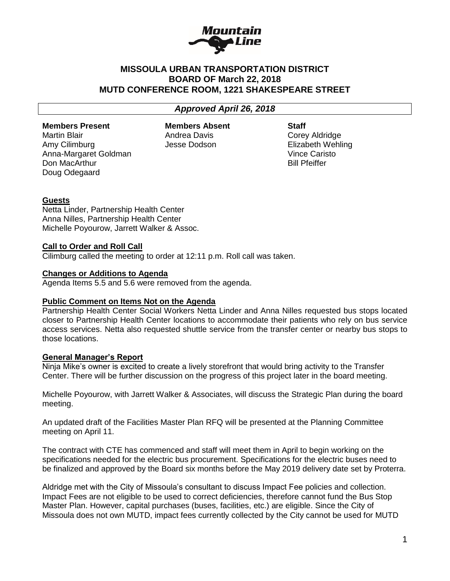

# **MISSOULA URBAN TRANSPORTATION DISTRICT BOARD OF March 22, 2018 MUTD CONFERENCE ROOM, 1221 SHAKESPEARE STREET**

# *Approved April 26, 2018*

#### **Members Present**

Martin Blair Amy Cilimburg Anna-Margaret Goldman Don MacArthur Doug Odegaard

**Members Absent**  Andrea Davis Jesse Dodson

**Staff** Corey Aldridge Elizabeth Wehling Vince Caristo Bill Pfeiffer

## **Guests**

Netta Linder, Partnership Health Center Anna Nilles, Partnership Health Center Michelle Poyourow, Jarrett Walker & Assoc.

## **Call to Order and Roll Call**

Cilimburg called the meeting to order at 12:11 p.m. Roll call was taken.

## **Changes or Additions to Agenda**

Agenda Items 5.5 and 5.6 were removed from the agenda.

## **Public Comment on Items Not on the Agenda**

Partnership Health Center Social Workers Netta Linder and Anna Nilles requested bus stops located closer to Partnership Health Center locations to accommodate their patients who rely on bus service access services. Netta also requested shuttle service from the transfer center or nearby bus stops to those locations.

## **General Manager's Report**

Ninja Mike's owner is excited to create a lively storefront that would bring activity to the Transfer Center. There will be further discussion on the progress of this project later in the board meeting.

Michelle Poyourow, with Jarrett Walker & Associates, will discuss the Strategic Plan during the board meeting.

An updated draft of the Facilities Master Plan RFQ will be presented at the Planning Committee meeting on April 11.

The contract with CTE has commenced and staff will meet them in April to begin working on the specifications needed for the electric bus procurement. Specifications for the electric buses need to be finalized and approved by the Board six months before the May 2019 delivery date set by Proterra.

Aldridge met with the City of Missoula's consultant to discuss Impact Fee policies and collection. Impact Fees are not eligible to be used to correct deficiencies, therefore cannot fund the Bus Stop Master Plan. However, capital purchases (buses, facilities, etc.) are eligible. Since the City of Missoula does not own MUTD, impact fees currently collected by the City cannot be used for MUTD